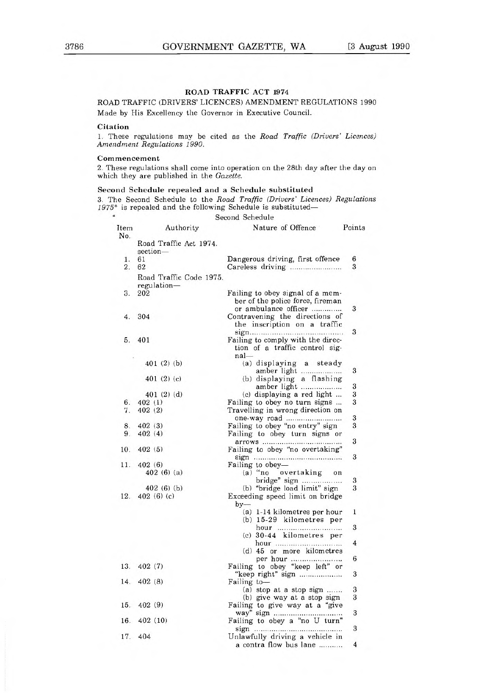## ROAD TRAFFIC ACT 1974

ROAD TRAFFIC (DRIVERS' LICENCES) AMENDMENT REGULATIONS 1990 Made by His Excellency the Governor in Executive Council.

## Citation

1. These regulations may be cited as the Road Traffic (Drivers' Licences) Amendment Regulations 1990.

## Commencement

2. These regulations shall come into operation on the 28th day after the day on which they are published in the Gazette.

## Second Schedule repealed and a Schedule substituted

3. The Second Schedule to the Road Traffic (Drivers' Licences) Regulations 1975\* is repealed and the following Schedule is substituted—  $\alpha$ 

|                  |                                        | Second Schedule                                                                        |        |
|------------------|----------------------------------------|----------------------------------------------------------------------------------------|--------|
| Item<br>No.      | Authority                              | Nature of Offence                                                                      | Points |
|                  | Road Traffic Act 1974.<br>section-     |                                                                                        |        |
| 1.               | 61                                     | Dangerous driving, first offence                                                       | 6      |
| $\overline{2}$ . | 62                                     | Careless driving                                                                       | 3      |
|                  | Road Traffic Code 1975.<br>regulation- |                                                                                        |        |
| 3.               | 202                                    | Failing to obey signal of a mem-<br>ber of the police force, fireman                   |        |
| 4.               | 304                                    | or ambulance officer<br>Contravening the directions of<br>the inscription on a traffic | 3      |
|                  |                                        |                                                                                        | 3      |
| 5.               | 401                                    | Failing to comply with the direc-<br>tion of a traffic control sig-<br>nal             |        |
|                  | 401(2)(b)                              | (a) displaying a steady<br>amber light                                                 | 3      |
|                  | 401 $(2)$ $(c)$                        | (b) displaying a flashing                                                              |        |
|                  |                                        | amber light                                                                            | 3      |
|                  | 401 (2) (d)                            | (c) displaying a red light                                                             | 3      |
| 6.               | 402(1)                                 | Failing to obey no turn signs                                                          | 3      |
| 7.               | 402(2)                                 | Travelling in wrong direction on                                                       |        |
|                  |                                        | one-way road                                                                           | 3      |
| 8.               | 402(3)                                 | Failing to obey "no entry" sign                                                        | 3      |
| 9.               | 402(4)                                 | Failing to obey turn signs or                                                          | 3      |
| 10.              | 402(5)                                 | Failing to obey "no overtaking"<br>sign                                                | 3      |
| 11.              | 402(6)                                 | Failing to obey-                                                                       |        |
|                  | 402(6)(a)                              | (a) "no overtaking<br>on                                                               |        |
|                  |                                        | bridge" sign                                                                           | 3      |
|                  | 402(6)(b)                              | (b) "bridge load limit" sign                                                           | 3      |
| 12.              | 402(6)(c)                              | Exceeding speed limit on bridge<br>$by-$                                               |        |
|                  |                                        | (a) 1-14 kilometres per hour<br>$(b)$ 15-29 kilometres per                             | 1      |
|                  |                                        | hour<br>$(c)$ 30-44 kilometres per                                                     | 3      |
|                  |                                        | hour<br>(d) 45 or more kilometres                                                      | 4      |
| 13.              | 402(7)                                 | per hour<br>Failing to obey "keep left" or                                             | 6      |
|                  |                                        | "keep right" sign                                                                      | 3      |
| 14.              | 402(8)                                 | Failing to-                                                                            |        |
|                  |                                        | (a) stop at a stop sign                                                                | 3      |
|                  | 15. 402 (9)                            | (b) give way at a stop sign                                                            | 3      |
|                  |                                        | Failing to give way at a "give                                                         | 3      |
|                  | 16.402(10)                             | Failing to obey a "no U turn"                                                          |        |
|                  |                                        |                                                                                        | $\,3$  |
|                  | 17. 404                                | Unlawfully driving a vehicle in<br>a contra flow bus lane                              | 4      |
|                  |                                        |                                                                                        |        |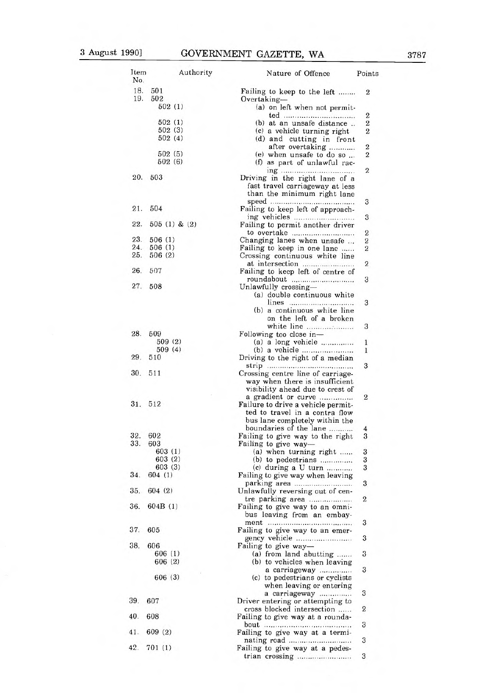| Item<br>No. |                    | Authority | Nature of Offence                                                    | Points           |
|-------------|--------------------|-----------|----------------------------------------------------------------------|------------------|
| 18.<br>19.  | 501<br>502         |           | Failing to keep to the left<br>$Overtaking-$                         | 2                |
|             | 502(1)             |           | (a) on left when not permit-                                         |                  |
|             |                    |           | ted                                                                  | 2                |
|             | 502(1)<br>502(3)   |           | (b) at an unsafe distance                                            | $\boldsymbol{2}$ |
|             | 502(4)             |           | (c) a vehicle turning right<br>(d) and cutting in front              | 2                |
|             |                    |           | after overtaking                                                     | $\mathbf{2}$     |
|             | 502 (5)            |           | (e) when unsafe to do so                                             | 2                |
|             | 502(6)             |           | (f) as part of unlawful rac-                                         |                  |
| 20.         | 503                |           | ing                                                                  | 2                |
|             |                    |           | Driving in the right lane of a<br>fast travel carriageway at less    |                  |
|             |                    |           | than the minimum right lane                                          |                  |
|             |                    |           |                                                                      | З                |
| 21.         | 504                |           | Failing to keep left of approach-                                    |                  |
| 22.         | $505(1)$ & $(2)$   |           | Failing to permit another driver                                     | 3                |
|             |                    |           | to overtake                                                          | $\mathbf{2}$     |
| 23.         | 506(1)             |           | Changing lanes when unsafe                                           | 2                |
| 24.         | 506(1)             |           | Failing to keep in one lane                                          | 2                |
| 25.         | 506(2)             |           | Crossing continuous white line                                       |                  |
| 26.         | 507                |           | at intersection                                                      | 2                |
|             |                    |           | Failing to keep left of centre of<br>roundabout                      | 3                |
| 27.         | 508                |           | Unlawfully crossing-                                                 |                  |
|             |                    |           | (a) double continuous white                                          |                  |
|             |                    |           | lines                                                                | 3                |
|             |                    |           | (b) a continuous white line                                          |                  |
|             |                    |           | on the left of a broken                                              |                  |
|             |                    |           | white line                                                           | З                |
| 28.         | 509                |           | Following too close in-                                              |                  |
|             | 509 (2)<br>509 (4) |           | (a) a long vehicle<br>(b) a vehicle                                  | 1<br>1           |
| 29.         | 510                |           | Driving to the right of a median                                     |                  |
|             |                    |           |                                                                      | 3                |
| 30.         | 511                |           | Crossing centre line of carriage-                                    |                  |
|             |                    |           | way when there is insufficient                                       |                  |
|             |                    |           | visibility ahead due to crest of                                     |                  |
| 31.         | 512                |           | a gradient or curve                                                  | 2                |
|             |                    |           | Failure to drive a vehicle permit-<br>ted to travel in a contra flow |                  |
|             |                    |           | bus lane completely within the                                       |                  |
|             |                    |           | boundaries of the lane                                               | 4                |
| 32.         | 602                |           | Failing to give way to the right                                     | 3                |
| 33.         | 603                |           | Failing to give way-                                                 |                  |
|             | 603 (1)            |           | $(a)$ when turning right                                             | 3                |
|             | 603(2)<br>603(3)   |           | (b) to pedestrians                                                   | 3                |
| 34.         | 604 (1)            |           | (c) during a $U$ turn<br>Failing to give way when leaving            | 3                |
|             |                    |           |                                                                      | 3                |
| 35.         | 604(2)             |           | Unlawfully reversing out of cen-                                     |                  |
|             |                    |           | tre parking area                                                     | 2                |
| 36.         | 604B(1)            |           | Failing to give way to an omni-                                      |                  |
|             |                    |           | bus leaving from an embay-                                           |                  |
| 37.         |                    |           |                                                                      | 3                |
|             | 605                |           | Failing to give way to an emer-                                      | 3                |
| 38.         | 606                |           | Failing to give way-                                                 |                  |
|             | 606 (1)            |           | (a) from land abutting                                               | 3                |
|             | 606 (2)            |           | (b) to vehicles when leaving                                         |                  |
|             |                    |           | a carriageway                                                        | 3                |
|             | 606(3)             |           | (c) to pedestrians or cyclists                                       |                  |
|             |                    |           | when leaving or entering                                             |                  |
| 39.         | 607                |           | a carriageway<br>Driver entering or attempting to                    | 3                |
|             |                    |           | cross blocked intersection                                           | 2                |
| 40.         | 608                |           | Failing to give way at a rounda-                                     |                  |
|             |                    |           |                                                                      | 3                |
| 41.         | 609(2)             |           | Failing to give way at a termi-                                      |                  |
| 42.         |                    |           |                                                                      | 3                |
|             | 701(1)             |           | Failing to give way at a pedes-                                      |                  |

trian crossing 3

|  | 3787 |  |
|--|------|--|
|  |      |  |

- $31. 51$
- $34.60$  $35. 60$
- 36. 60
- $37.60$  $38.60$ 
	-
- 39. 60<sup>°</sup>
- $40.60$
- $41.609$
-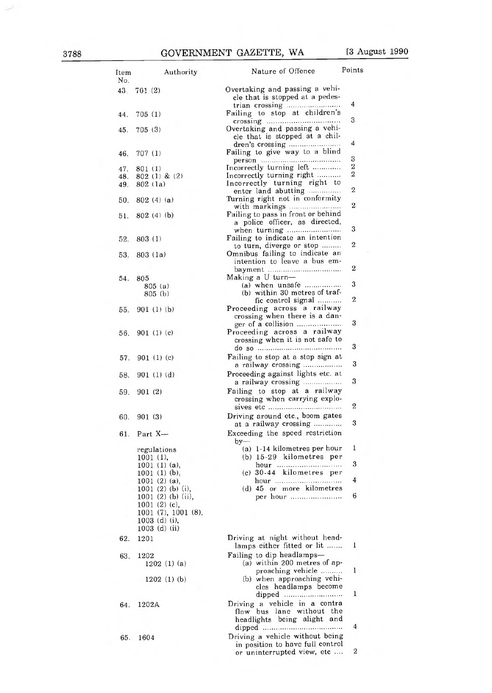| Item<br>No. | Authority                                                                     | Nature of Offence                                                                         | Points                |
|-------------|-------------------------------------------------------------------------------|-------------------------------------------------------------------------------------------|-----------------------|
| 43.         | 701(2)                                                                        | Overtaking and passing a vehi-<br>cle that is stopped at a pedes-                         |                       |
| 44.         | 705(1)                                                                        | Failing to stop at children's                                                             | 4                     |
| 45.         | 705(3)                                                                        | Overtaking and passing a vehi-                                                            | 3                     |
| 46.         | 707(1)                                                                        | cle that is stopped at a chil-<br>Failing to give way to a blind                          | 4                     |
|             |                                                                               |                                                                                           | 3                     |
| 47.         | 801 (1)                                                                       | Incorrectly turning left<br>Incorrectly turning right                                     | $\boldsymbol{2}$<br>2 |
| 48.<br>49.  | $802(1)$ & $(2)$<br>802 (1a)                                                  | Incorrectly turning right to                                                              |                       |
| 50.         | 802(4)(a)                                                                     | enter land abutting<br>Turning right not in conformity                                    | 2                     |
| 51.         | 802(4)(b)                                                                     | Failing to pass in front or behind<br>a police officer, as directed,                      | $\mathbf{2}$          |
| 52.         | 803(1)                                                                        | Failing to indicate an intention                                                          | 3                     |
|             |                                                                               | to turn, diverge or stop                                                                  | $\boldsymbol{2}$      |
| 53.         | 803(1a)                                                                       | Omnibus failing to indicate an<br>intention to leave a bus em-                            | 2                     |
| 54.         | 805                                                                           | Making a U turn-                                                                          |                       |
|             | 805(a)                                                                        | (b) within 30 metres of traf-                                                             | 3                     |
|             | 805 (b)                                                                       | fic control signal                                                                        | $\overline{2}$        |
| 55.         | 901(1)(b)                                                                     | Proceeding across a railway<br>crossing when there is a dan-                              | 3                     |
| 56.         | 901(1)(c)                                                                     | Proceeding across a railway<br>crossing when it is not safe to                            |                       |
| 57.         | 901(1)(c)                                                                     | Failing to stop at a stop sign at                                                         | 3<br>3                |
| 58.         | 901(1)(d)                                                                     | a railway crossing<br>Proceeding against lights etc. at<br>a railway crossing             | 3                     |
| 59.         | 901(2)                                                                        | Failing to stop at a railway<br>crossing when carrying explo-                             |                       |
|             |                                                                               |                                                                                           | 2                     |
| 60.         | 901(3)                                                                        | Driving around etc., boom gates<br>at a railway crossing                                  | 3                     |
| 61.         | Part X-                                                                       | Exceeding the speed restriction<br>$by-$                                                  | 1                     |
|             | regulations<br>1001(1),                                                       | (a) 1-14 kilometres per hour<br>(b) 15-29 kilometres per                                  |                       |
|             | $1001$ (1) (a),                                                               | hour                                                                                      | 3                     |
|             | $1001$ (1) (b),<br>$1001(2)(a)$ ,                                             | (c) 30-44 kilometres per<br>hour                                                          | 4                     |
|             | 1001 (2) (b) (i),                                                             | (d) 45 or more kilometres                                                                 |                       |
|             | $1001$ (2) (b) (ii),<br>1001(2)(c),<br>1001 (7), 1001 (8),<br>$1003$ (d) (i), | per hour                                                                                  | 6                     |
|             | 1003 (d) (ii)                                                                 |                                                                                           |                       |
| 62.         | 1201                                                                          | Driving at night without head-<br>lamps either fitted or lit                              | 1                     |
| 63.         | 1202<br>1202(1)(a)                                                            | Failing to dip headlamps-<br>(a) within 200 metres of ap-                                 |                       |
|             | 1202(1)(b)                                                                    | proaching vehicle<br>(b) when approaching vehi-<br>cles headlamps become<br>dipped        | 1<br>1                |
| 64.         | 1202A                                                                         | Driving a vehicle in a contra<br>flow bus lane without the<br>headlights being alight and | 4                     |
| 65.         | 1604                                                                          | Driving a vehicle without being<br>in position to have full control                       |                       |
|             |                                                                               | or uninterrupted view, etc                                                                | 2                     |